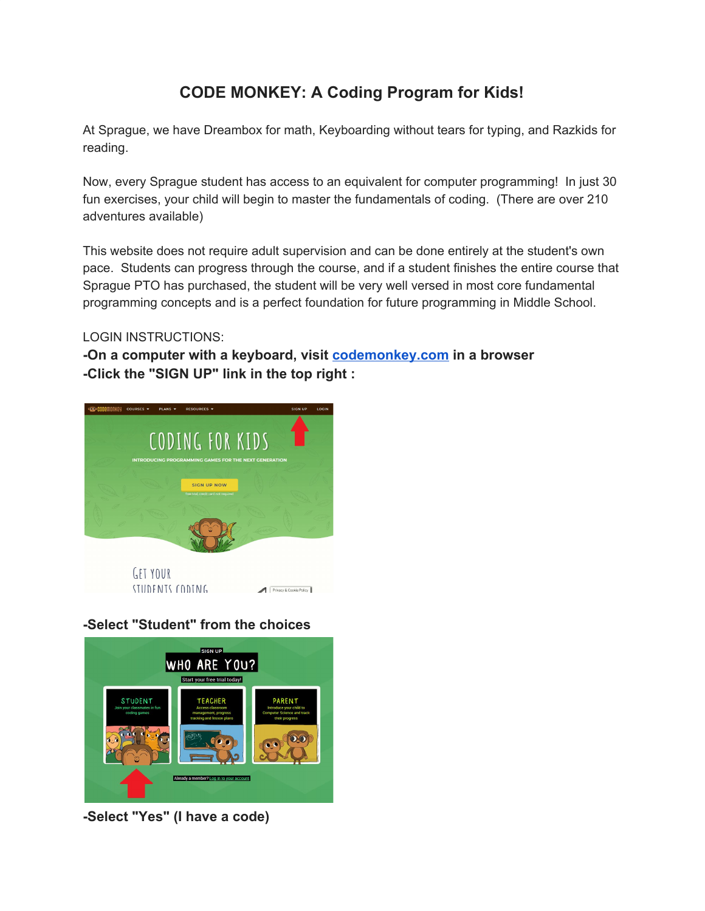## **CODE MONKEY: A Coding Program for Kids!**

At Sprague, we have Dreambox for math, Keyboarding without tears for typing, and Razkids for reading.

Now, every Sprague student has access to an equivalent for computer programming! In just 30 fun exercises, your child will begin to master the fundamentals of coding. (There are over 210 adventures available)

This website does not require adult supervision and can be done entirely at the student's own pace. Students can progress through the course, and if a student finishes the entire course that Sprague PTO has purchased, the student will be very well versed in most core fundamental programming concepts and is a perfect foundation for future programming in Middle School.

## LOGIN INSTRUCTIONS:

**-On a computer with a keyboard, visit [codemonkey.com](http://codemonkey.com/) in a browser -Click the "SIGN UP" link in the top right :**



**-Select "Student" from the choices**



**-Select "Yes" (I have a code)**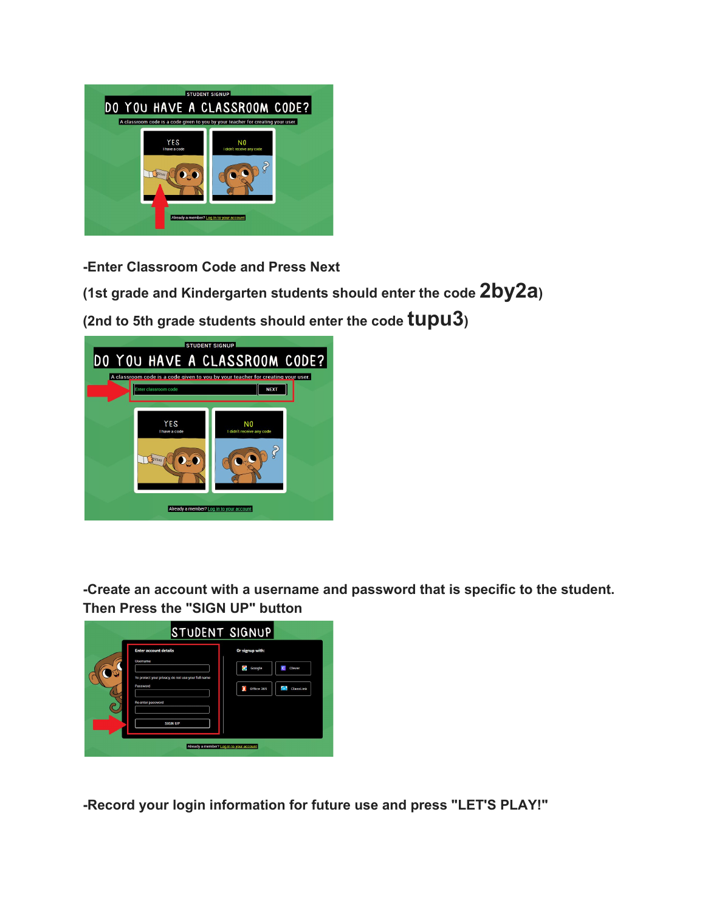

**-Enter Classroom Code and Press Next**

**(1st grade and Kindergarten students should enter the code 2by2a)**

**(2nd to 5th grade students should enter the code tupu3)**



**-Create an account with a username and password that is specific to the student. Then Press the "SIGN UP" button**



**-Record your login information for future use and press "LET'S PLAY!"**